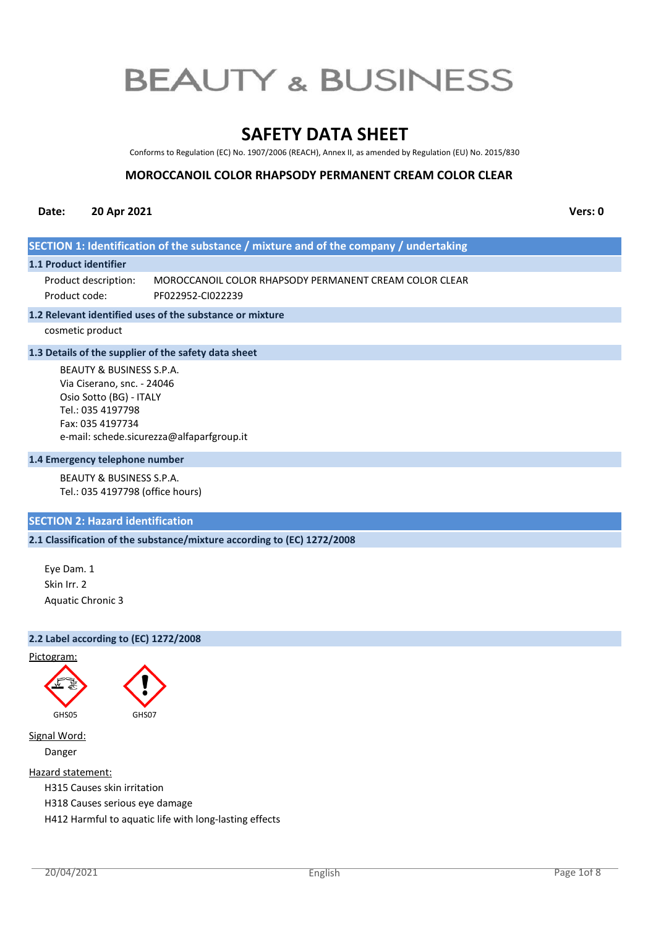# **SAFETY DATA SHEET**

Conforms to Regulation (EC) No. 1907/2006 (REACH), Annex II, as amended by Regulation (EU) No. 2015/830

# **MOROCCANOIL COLOR RHAPSODY PERMANENT CREAM COLOR CLEAR**

# **Date: 20 Apr 2021 Vers: 0**

# **SECTION 1: Identification of the substance / mixture and of the company / undertaking**

#### **1.1 Product identifier**

MOROCCANOIL COLOR RHAPSODY PERMANENT CREAM COLOR CLEAR PF022952-CI022239 Product description: Product code:

#### **1.2 Relevant identified uses of the substance or mixture**

cosmetic product

#### **1.3 Details of the supplier of the safety data sheet**

BEAUTY & BUSINESS S.P.A. Via Ciserano, snc. - 24046 Osio Sotto (BG) - ITALY Tel.: 035 4197798 Fax: 035 4197734 e-mail: schede.sicurezza@alfaparfgroup.it

#### **1.4 Emergency telephone number**

BEAUTY & BUSINESS S.P.A. Tel.: 035 4197798 (office hours)

# **SECTION 2: Hazard identification**

## **2.1 Classification of the substance/mixture according to (EC) 1272/2008**

Eye Dam. 1 Skin Irr. 2 Aquatic Chronic 3

#### **2.2 Label according to (EC) 1272/2008**





Signal Word:

Danger

Hazard statement:

H315 Causes skin irritation

H318 Causes serious eye damage

H412 Harmful to aquatic life with long-lasting effects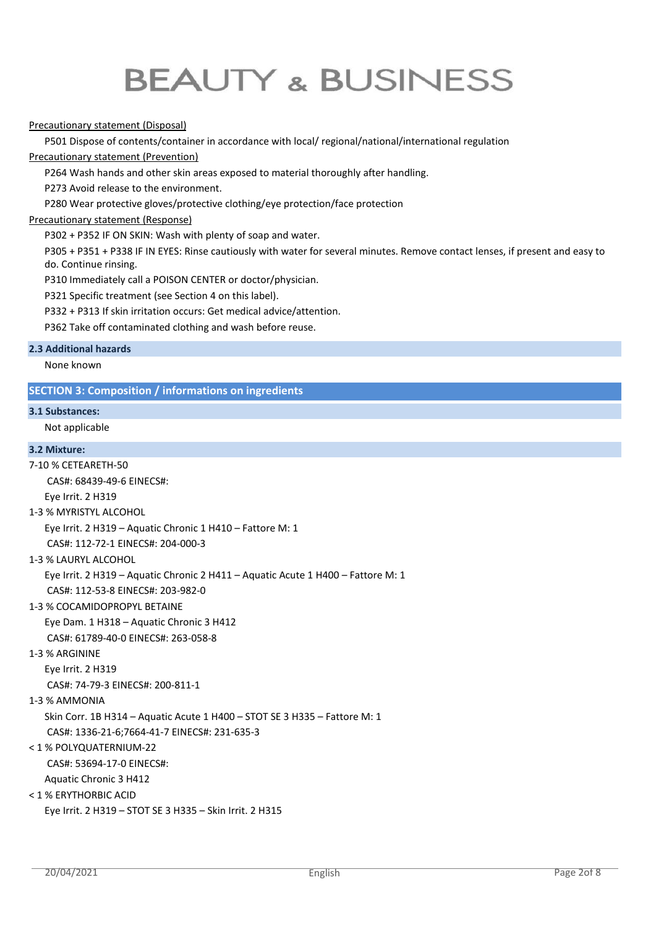## Precautionary statement (Disposal)

P501 Dispose of contents/container in accordance with local/ regional/national/international regulation

#### Precautionary statement (Prevention)

P264 Wash hands and other skin areas exposed to material thoroughly after handling.

P273 Avoid release to the environment.

P280 Wear protective gloves/protective clothing/eye protection/face protection

## Precautionary statement (Response)

P302 + P352 IF ON SKIN: Wash with plenty of soap and water.

P305 + P351 + P338 IF IN EYES: Rinse cautiously with water for several minutes. Remove contact lenses, if present and easy to do. Continue rinsing.

P310 Immediately call a POISON CENTER or doctor/physician.

P321 Specific treatment (see Section 4 on this label).

P332 + P313 If skin irritation occurs: Get medical advice/attention.

P362 Take off contaminated clothing and wash before reuse.

#### **2.3 Additional hazards**

None known

# **SECTION 3: Composition / informations on ingredients**

#### **3.1 Substances:**

Not applicable

#### **3.2 Mixture:**

7-10 % CETEARETH-50 CAS#: 68439-49-6 EINECS#: Eye Irrit. 2 H319 1-3 % MYRISTYL ALCOHOL Eye Irrit. 2 H319 – Aquatic Chronic 1 H410 – Fattore M: 1 CAS#: 112-72-1 EINECS#: 204-000-3 1-3 % LAURYL ALCOHOL Eye Irrit. 2 H319 – Aquatic Chronic 2 H411 – Aquatic Acute 1 H400 – Fattore M: 1 CAS#: 112-53-8 EINECS#: 203-982-0 1-3 % COCAMIDOPROPYL BETAINE Eye Dam. 1 H318 – Aquatic Chronic 3 H412 CAS#: 61789-40-0 EINECS#: 263-058-8 1-3 % ARGININE Eye Irrit. 2 H319 CAS#: 74-79-3 EINECS#: 200-811-1 1-3 % AMMONIA Skin Corr. 1B H314 – Aquatic Acute 1 H400 – STOT SE 3 H335 – Fattore M: 1 CAS#: 1336-21-6;7664-41-7 EINECS#: 231-635-3 < 1 % POLYQUATERNIUM-22 CAS#: 53694-17-0 EINECS#: Aquatic Chronic 3 H412 < 1 % ERYTHORBIC ACID Eye Irrit. 2 H319 – STOT SE 3 H335 – Skin Irrit. 2 H315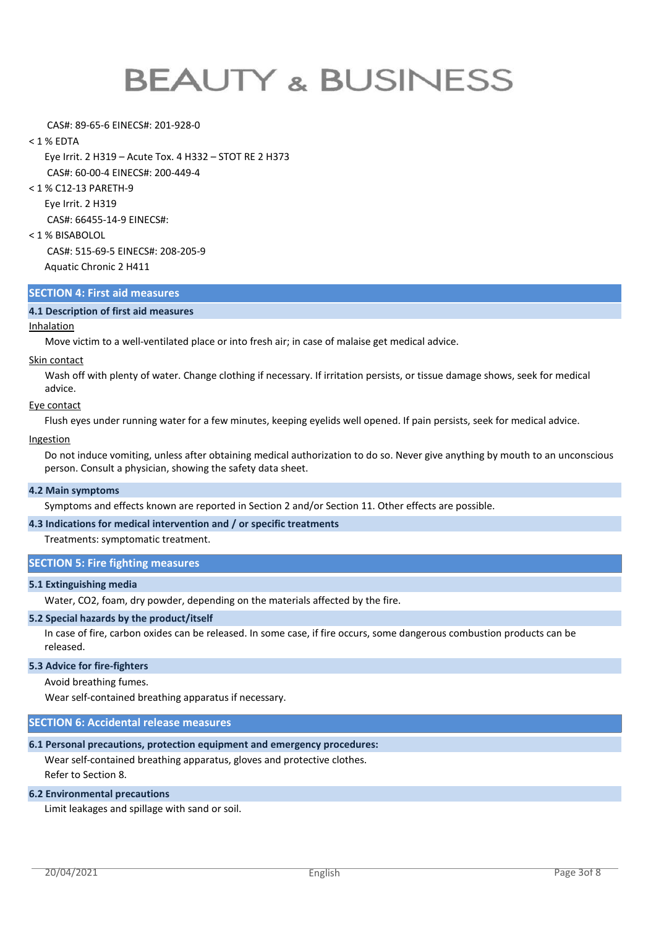#### CAS#: 89-65-6 EINECS#: 201-928-0

#### < 1 % EDTA

Eye Irrit. 2 H319 – Acute Tox. 4 H332 – STOT RE 2 H373 CAS#: 60-00-4 EINECS#: 200-449-4

< 1 % C12-13 PARETH-9

Eye Irrit. 2 H319

CAS#: 66455-14-9 EINECS#:

#### < 1 % BISABOLOL

 CAS#: 515-69-5 EINECS#: 208-205-9 Aquatic Chronic 2 H411

#### **SECTION 4: First aid measures**

### **4.1 Description of first aid measures**

#### Inhalation

Move victim to a well-ventilated place or into fresh air; in case of malaise get medical advice.

#### Skin contact

Wash off with plenty of water. Change clothing if necessary. If irritation persists, or tissue damage shows, seek for medical advice.

#### Eye contact

Flush eyes under running water for a few minutes, keeping eyelids well opened. If pain persists, seek for medical advice.

#### **Ingestion**

Do not induce vomiting, unless after obtaining medical authorization to do so. Never give anything by mouth to an unconscious person. Consult a physician, showing the safety data sheet.

#### **4.2 Main symptoms**

Symptoms and effects known are reported in Section 2 and/or Section 11. Other effects are possible.

# **4.3 Indications for medical intervention and / or specific treatments**

Treatments: symptomatic treatment.

## **SECTION 5: Fire fighting measures**

### **5.1 Extinguishing media**

Water, CO2, foam, dry powder, depending on the materials affected by the fire.

#### **5.2 Special hazards by the product/itself**

In case of fire, carbon oxides can be released. In some case, if fire occurs, some dangerous combustion products can be released.

#### **5.3 Advice for fire-fighters**

Avoid breathing fumes.

Wear self-contained breathing apparatus if necessary.

#### **SECTION 6: Accidental release measures**

## **6.1 Personal precautions, protection equipment and emergency procedures:**

Wear self-contained breathing apparatus, gloves and protective clothes. Refer to Section 8.

#### **6.2 Environmental precautions**

Limit leakages and spillage with sand or soil.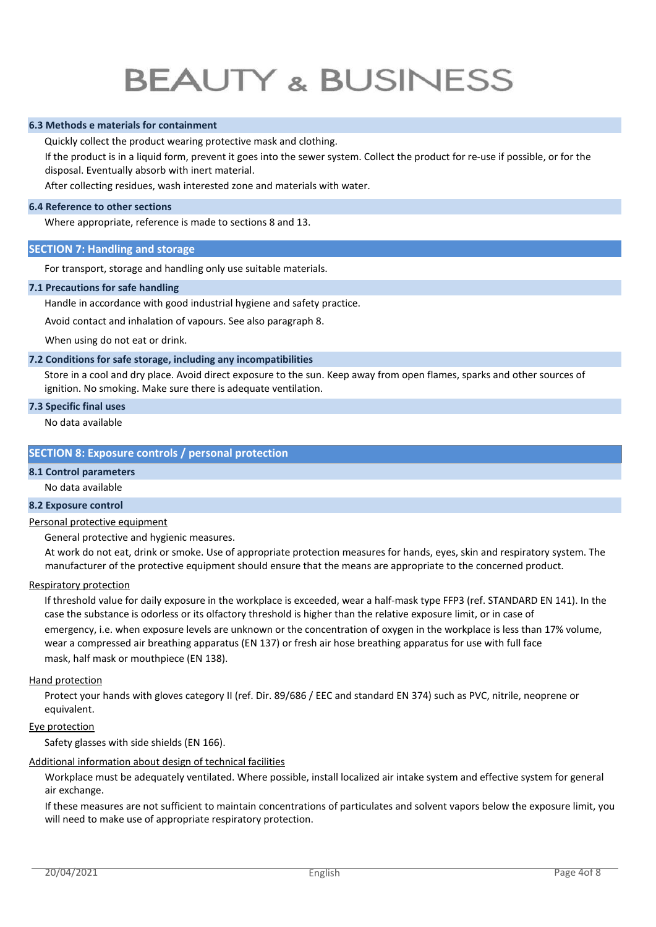### **6.3 Methods e materials for containment**

Quickly collect the product wearing protective mask and clothing.

If the product is in a liquid form, prevent it goes into the sewer system. Collect the product for re-use if possible, or for the disposal. Eventually absorb with inert material.

After collecting residues, wash interested zone and materials with water.

#### **6.4 Reference to other sections**

Where appropriate, reference is made to sections 8 and 13.

#### **SECTION 7: Handling and storage**

For transport, storage and handling only use suitable materials.

#### **7.1 Precautions for safe handling**

Handle in accordance with good industrial hygiene and safety practice.

Avoid contact and inhalation of vapours. See also paragraph 8.

When using do not eat or drink.

#### **7.2 Conditions for safe storage, including any incompatibilities**

Store in a cool and dry place. Avoid direct exposure to the sun. Keep away from open flames, sparks and other sources of ignition. No smoking. Make sure there is adequate ventilation.

#### **7.3 Specific final uses**

No data available

## **SECTION 8: Exposure controls / personal protection**

#### **8.1 Control parameters**

No data available

# **8.2 Exposure control**

#### Personal protective equipment

General protective and hygienic measures.

At work do not eat, drink or smoke. Use of appropriate protection measures for hands, eyes, skin and respiratory system. The manufacturer of the protective equipment should ensure that the means are appropriate to the concerned product.

#### Respiratory protection

If threshold value for daily exposure in the workplace is exceeded, wear a half-mask type FFP3 (ref. STANDARD EN 141). In the case the substance is odorless or its olfactory threshold is higher than the relative exposure limit, or in case of emergency, i.e. when exposure levels are unknown or the concentration of oxygen in the workplace is less than 17% volume, wear a compressed air breathing apparatus (EN 137) or fresh air hose breathing apparatus for use with full face mask, half mask or mouthpiece (EN 138).

#### Hand protection

Protect your hands with gloves category II (ref. Dir. 89/686 / EEC and standard EN 374) such as PVC, nitrile, neoprene or equivalent.

#### Eye protection

Safety glasses with side shields (EN 166).

#### Additional information about design of technical facilities

Workplace must be adequately ventilated. Where possible, install localized air intake system and effective system for general air exchange.

If these measures are not sufficient to maintain concentrations of particulates and solvent vapors below the exposure limit, you will need to make use of appropriate respiratory protection.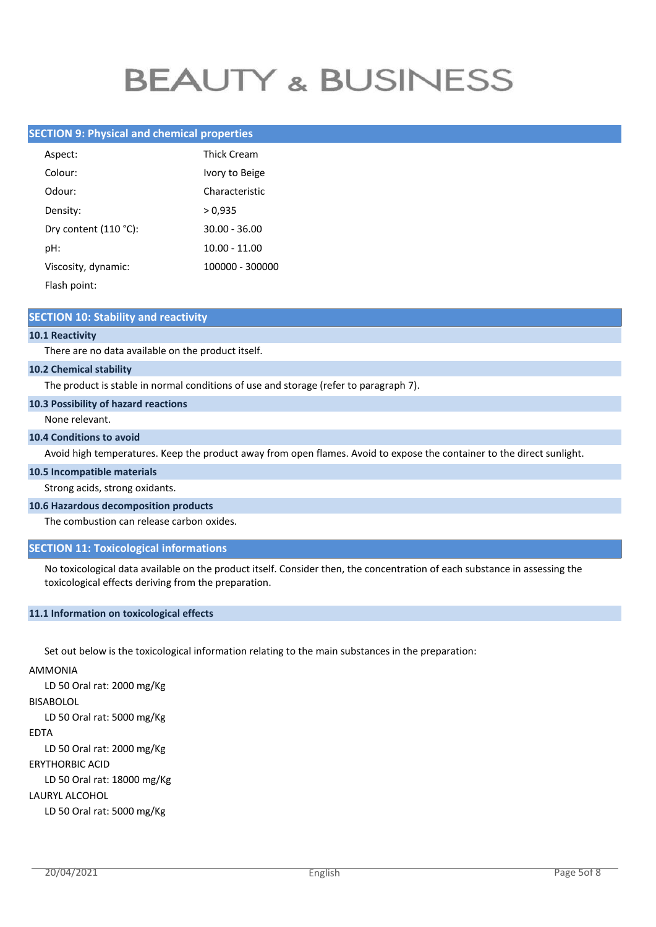# **SECTION 9: Physical and chemical properties**

| Aspect:               | <b>Thick Cream</b> |
|-----------------------|--------------------|
| Colour:               | Ivory to Beige     |
| Odour:                | Characteristic     |
| Density:              | > 0.935            |
| Dry content (110 °C): | $30.00 - 36.00$    |
| pH:                   | $10.00 - 11.00$    |
| Viscosity, dynamic:   | 100000 - 300000    |
| Flash point:          |                    |

#### **SECTION 10: Stability and reactivity**

#### **10.1 Reactivity**

There are no data available on the product itself.

#### **10.2 Chemical stability**

The product is stable in normal conditions of use and storage (refer to paragraph 7).

#### **10.3 Possibility of hazard reactions**

#### None relevant.

#### **10.4 Conditions to avoid**

Avoid high temperatures. Keep the product away from open flames. Avoid to expose the container to the direct sunlight.

#### **10.5 Incompatible materials**

Strong acids, strong oxidants.

#### **10.6 Hazardous decomposition products**

The combustion can release carbon oxides.

### **SECTION 11: Toxicological informations**

No toxicological data available on the product itself. Consider then, the concentration of each substance in assessing the toxicological effects deriving from the preparation.

#### **11.1 Information on toxicological effects**

Set out below is the toxicological information relating to the main substances in the preparation:

# AMMONIA

LD 50 Oral rat: 2000 mg/Kg BISABOLOL LD 50 Oral rat: 5000 mg/Kg EDTA LD 50 Oral rat: 2000 mg/Kg ERYTHORBIC ACID LD 50 Oral rat: 18000 mg/Kg LAURYL ALCOHOL LD 50 Oral rat: 5000 mg/Kg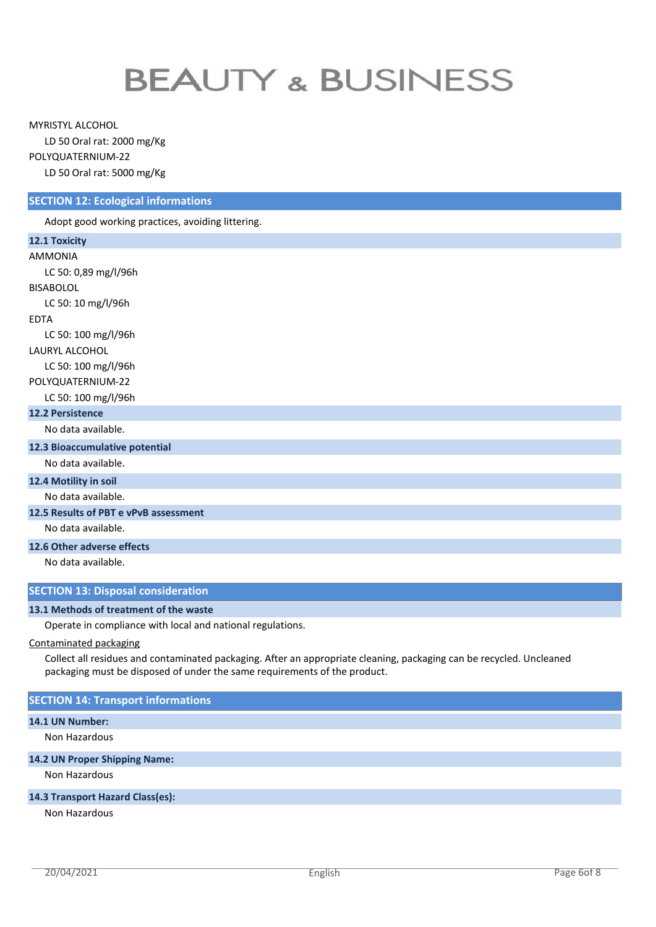MYRISTYL ALCOHOL

LD 50 Oral rat: 2000 mg/Kg

POLYQUATERNIUM-22

LD 50 Oral rat: 5000 mg/Kg

# **SECTION 12: Ecological informations**

Adopt good working practices, avoiding littering.

| 12.1 Toxicity                             |  |
|-------------------------------------------|--|
| <b>AMMONIA</b>                            |  |
| LC 50: 0,89 mg/l/96h                      |  |
| <b>BISABOLOL</b>                          |  |
| LC 50: 10 mg/l/96h                        |  |
| <b>EDTA</b>                               |  |
| LC 50: 100 mg/l/96h                       |  |
| LAURYL ALCOHOL                            |  |
| LC 50: 100 mg/l/96h                       |  |
| POLYQUATERNIUM-22                         |  |
| LC 50: 100 mg/l/96h                       |  |
| <b>12.2 Persistence</b>                   |  |
| No data available.                        |  |
| 12.3 Bioaccumulative potential            |  |
| No data available.                        |  |
| 12.4 Motility in soil                     |  |
| No data available.                        |  |
| 12.5 Results of PBT e vPvB assessment     |  |
| No data available.                        |  |
| 12.6 Other adverse effects                |  |
| No data available.                        |  |
|                                           |  |
| <b>SECTION 13: Disposal consideration</b> |  |

## **13.1 Methods of treatment of the waste**

Operate in compliance with local and national regulations.

# Contaminated packaging

Collect all residues and contaminated packaging. After an appropriate cleaning, packaging can be recycled. Uncleaned packaging must be disposed of under the same requirements of the product.

# **SECTION 14: Transport informations**

#### **14.1 UN Number:**

Non Hazardous

# **14.2 UN Proper Shipping Name:**

Non Hazardous

# **14.3 Transport Hazard Class(es):**

Non Hazardous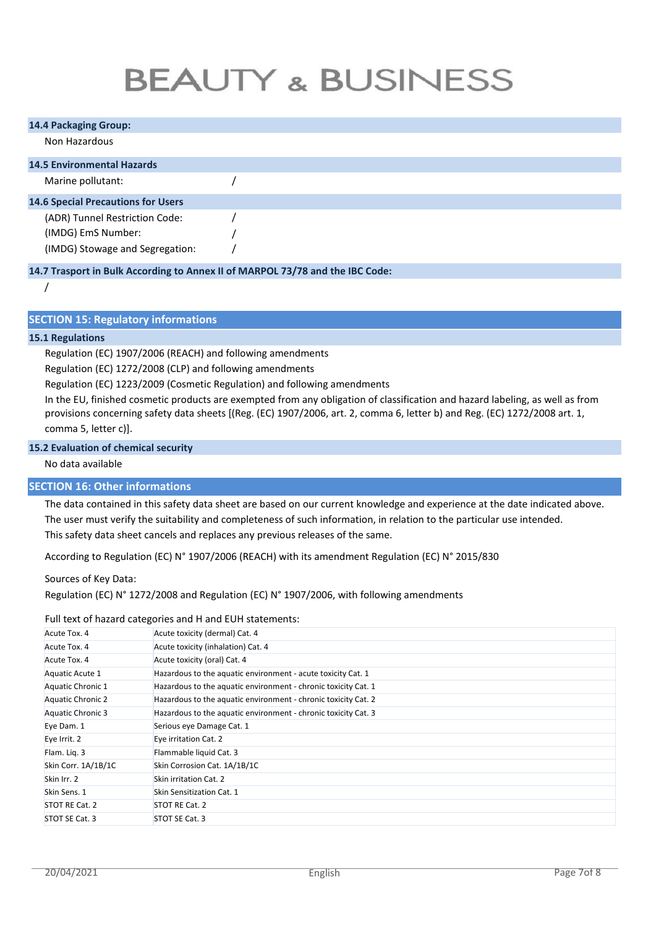| <b>14.4 Packaging Group:</b>              |  |  |  |
|-------------------------------------------|--|--|--|
| Non Hazardous                             |  |  |  |
| <b>14.5 Environmental Hazards</b>         |  |  |  |
| Marine pollutant:                         |  |  |  |
| <b>14.6 Special Precautions for Users</b> |  |  |  |
| (ADR) Tunnel Restriction Code:            |  |  |  |
| (IMDG) EmS Number:                        |  |  |  |
| (IMDG) Stowage and Segregation:           |  |  |  |

## **14.7 Trasport in Bulk According to Annex II of MARPOL 73/78 and the IBC Code:**

/

# **SECTION 15: Regulatory informations**

#### **15.1 Regulations**

Regulation (EC) 1907/2006 (REACH) and following amendments

Regulation (EC) 1272/2008 (CLP) and following amendments

Regulation (EC) 1223/2009 (Cosmetic Regulation) and following amendments

In the EU, finished cosmetic products are exempted from any obligation of classification and hazard labeling, as well as from provisions concerning safety data sheets [(Reg. (EC) 1907/2006, art. 2, comma 6, letter b) and Reg. (EC) 1272/2008 art. 1, comma 5, letter c)].

## **15.2 Evaluation of chemical security**

#### No data available

## **SECTION 16: Other informations**

The data contained in this safety data sheet are based on our current knowledge and experience at the date indicated above. The user must verify the suitability and completeness of such information, in relation to the particular use intended. This safety data sheet cancels and replaces any previous releases of the same.

According to Regulation (EC) N° 1907/2006 (REACH) with its amendment Regulation (EC) N° 2015/830

Sources of Key Data:

Regulation (EC) N° 1272/2008 and Regulation (EC) N° 1907/2006, with following amendments

#### Full text of hazard categories and H and EUH statements:

| Acute Tox. 4             | Acute toxicity (dermal) Cat. 4                                 |
|--------------------------|----------------------------------------------------------------|
| Acute Tox. 4             | Acute toxicity (inhalation) Cat. 4                             |
| Acute Tox. 4             | Acute toxicity (oral) Cat. 4                                   |
| Aquatic Acute 1          | Hazardous to the aquatic environment - acute toxicity Cat. 1   |
| Aquatic Chronic 1        | Hazardous to the aquatic environment - chronic toxicity Cat. 1 |
| Aquatic Chronic 2        | Hazardous to the aquatic environment - chronic toxicity Cat. 2 |
| <b>Aquatic Chronic 3</b> | Hazardous to the aquatic environment - chronic toxicity Cat. 3 |
| Eye Dam. 1               | Serious eye Damage Cat. 1                                      |
| Eye Irrit. 2             | Eye irritation Cat. 2                                          |
| Flam. Lig. 3             | Flammable liquid Cat. 3                                        |
| Skin Corr. 1A/1B/1C      | Skin Corrosion Cat. 1A/1B/1C                                   |
| Skin Irr. 2              | Skin irritation Cat. 2                                         |
| Skin Sens. 1             | Skin Sensitization Cat. 1                                      |
| STOT RE Cat. 2           | STOT RE Cat. 2                                                 |
| STOT SE Cat. 3           | STOT SE Cat. 3                                                 |